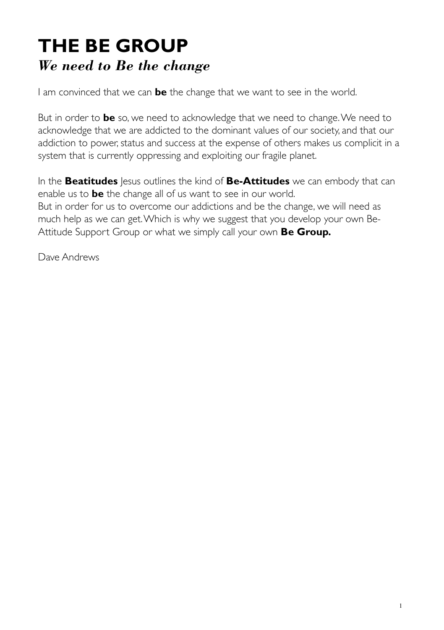# **The Be Group**  *We need to Be the change*

I am convinced that we can **be** the change that we want to see in the world.

But in order to **be** so, we need to acknowledge that we need to change. We need to acknowledge that we are addicted to the dominant values of our society, and that our addiction to power, status and success at the expense of others makes us complicit in a system that is currently oppressing and exploiting our fragile planet.

In the **Beatitudes** Jesus outlines the kind of **Be-Attitudes** we can embody that can enable us to **be** the change all of us want to see in our world. But in order for us to overcome our addictions and be the change, we will need as much help as we can get. Which is why we suggest that you develop your own Be-Attitude Support Group or what we simply call your own **Be Group.**

Dave Andrews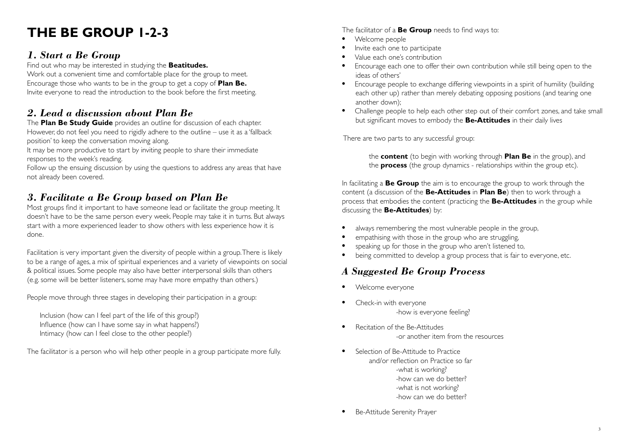# **The Be Group 1-2-3**

### *1. Start a Be Group*

Find out who may be interested in studying the **Beatitudes.**

Work out a convenient time and comfortable place for the group to meet. Encourage those who wants to be in the group to get a copy of **Plan Be.** Invite everyone to read the introduction to the book before the first meeting.

## *2. Lead a discussion about Plan Be*

The **Plan Be Study Guide** provides an outline for discussion of each chapter. However, do not feel you need to rigidly adhere to the outline – use it as a 'fallback position' to keep the conversation moving along.

It may be more productive to start by inviting people to share their immediate responses to the week's reading.

Follow up the ensuing discussion by using the questions to address any areas that have not already been covered.

## *3. Facilitate a Be Group based on Plan Be*

Most groups find it important to have someone lead or facilitate the group meeting. It doesn't have to be the same person every week. People may take it in turns. But always start with a more experienced leader to show others with less experience how it is done.

Facilitation is very important given the diversity of people within a group. There is likely to be a range of ages, a mix of spiritual experiences and a variety of viewpoints on social & political issues. Some people may also have better interpersonal skills than others (e.g. some will be better listeners, some may have more empathy than others.)

People move through three stages in developing their participation in a group:

Inclusion (how can I feel part of the life of this group?) Influence (how can I have some say in what happens?) Intimacy (how can I feel close to the other people?)

The facilitator is a person who will help other people in a group participate more fully.

The facilitator of a **Be Group** needs to find ways to:

- Welcome people
- Invite each one to participate
- Value each one's contribution
- Encourage each one to offer their own contribution while still being open to the ideas of others'
- Encourage people to exchange differing viewpoints in a spirit of humility (building each other up) rather than merely debating opposing positions (and tearing one another down);
- Challenge people to help each other step out of their comfort zones, and take small but significant moves to embody the **Be-Attitudes** in their daily lives

There are two parts to any successful group:

the **content** (to begin with working through **Plan Be** in the group), and the **process** (the group dynamics - relationships within the group etc).

In facilitating a **Be Group** the aim is to encourage the group to work through the content (a discussion of the **Be-Attitudes** in **Plan Be**) then to work through a process that embodies the content (practicing the **Be-Attitudes** in the group while discussing the **Be-Attitudes**) by:

- always remembering the most vulnerable people in the group,
- empathising with those in the group who are struggling,
- speaking up for those in the group who aren't listened to,
- being committed to develop a group process that is fair to everyone, etc.

# *A Suggested Be Group Process*

- Welcome everyone
- Check-in with everyone -how is everyone feeling?
- **Recitation of the Be-Attitudes** -or another item from the resources
- Selection of Be-Attitude to Practice and/or reflection on Practice so far -what is working? -how can we do better? -what is not working? -how can we do better?
- **Be-Attitude Serenity Prayer**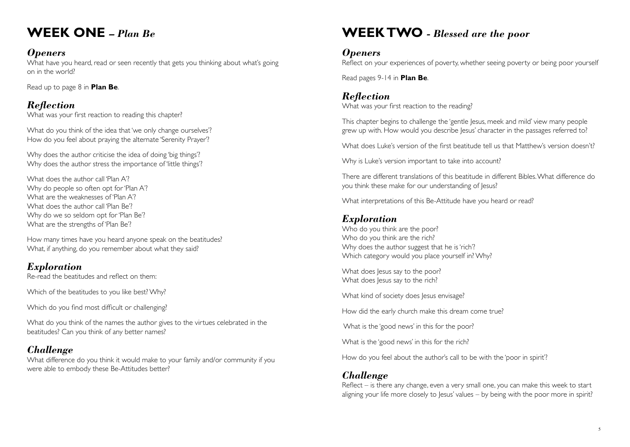# **Week one** *– Plan Be*

### *Openers*

What have you heard, read or seen recently that gets you thinking about what's going on in the world?

Read up to page 8 in **Plan Be**.

## *Reflection*

What was your first reaction to reading this chapter?

What do you think of the idea that 'we only change ourselves'? How do you feel about praying the alternate 'Serenity Prayer'?

Why does the author criticise the idea of doing 'big things'? Why does the author stress the importance of 'little things'?

What does the author call 'Plan A'? Why do people so often opt for 'Plan A'? What are the weaknesses of 'Plan A'? What does the author call 'Plan Be'? Why do we so seldom opt for 'Plan Be'? What are the strengths of 'Plan Be'?

How many times have you heard anyone speak on the beatitudes? What, if anything, do you remember about what they said?

# *Exploration*

Re-read the beatitudes and reflect on them:

Which of the beatitudes to you like best? Why?

Which do you find most difficult or challenging?

What do you think of the names the author gives to the virtues celebrated in the beatitudes? Can you think of any better names?

# *Challenge*

What difference do you think it would make to your family and/or community if you were able to embody these Be-Attitudes better?

# **Week two** *- Blessed are the poor*

### *Openers*

Reflect on your experiences of poverty, whether seeing poverty or being poor yourself

Read pages 9-14 in **Plan Be**.

# *Reflection*

What was your first reaction to the reading?

This chapter begins to challenge the 'gentle Jesus, meek and mild' view many people grew up with. How would you describe Jesus' character in the passages referred to?

What does Luke's version of the first beatitude tell us that Matthew's version doesn't?

Why is Luke's version important to take into account?

There are different translations of this beatitude in different Bibles. What difference do you think these make for our understanding of Jesus?

What interpretations of this Be-Attitude have you heard or read?

# *Exploration*

Who do you think are the poor? Who do you think are the rich? Why does the author suggest that he is 'rich'? Which category would you place yourself in? Why?

What does lesus say to the poor? What does lesus say to the rich?

What kind of society does lesus envisage?

How did the early church make this dream come true?

What is the 'good news' in this for the poor?

What is the 'good news' in this for the rich?

How do you feel about the author's call to be with the 'poor in spirit'?

# *Challenge*

Reflect – is there any change, even a very small one, you can make this week to start aligning your life more closely to Jesus' values – by being with the poor more in spirit?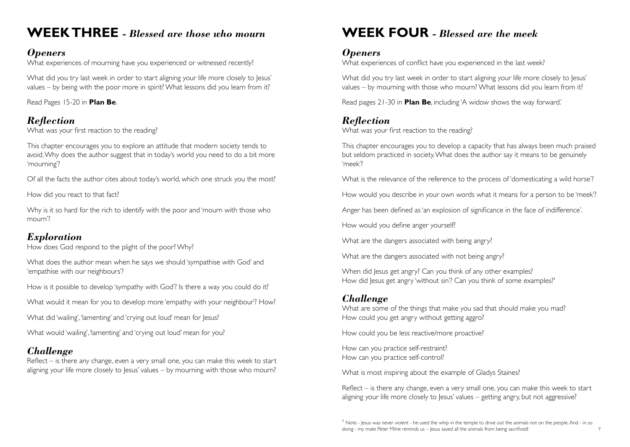# **Week three** *- Blessed are those who mourn*

### *Openers*

What experiences of mourning have you experienced or witnessed recently?

What did you try last week in order to start aligning your life more closely to Jesus' values – by being with the poor more in spirit? What lessons did you learn from it?

Read Pages 15-20 in **Plan Be**.

### *Reflection*

What was your first reaction to the reading?

This chapter encourages you to explore an attitude that modern society tends to avoid. Why does the author suggest that in today's world you need to do a bit more 'mourning'?

Of all the facts the author cites about today's world, which one struck you the most?

How did you react to that fact?

Why is it so hard for the rich to identify with the poor and 'mourn with those who mourn'?

## *Exploration*

How does God respond to the plight of the poor? Why?

What does the author mean when he says we should 'sympathise with God' and 'empathise with our neighbours'?

How is it possible to develop 'sympathy with God'? Is there a way you could do it?

What would it mean for you to develop more 'empathy with your neighbour'? How?

What did 'wailing', 'lamenting' and 'crying out loud' mean for Jesus?

What would 'wailing', 'lamenting' and 'crying out loud' mean for you?

## *Challenge*

Reflect – is there any change, even a very small one, you can make this week to start aligning your life more closely to Jesus' values – by mourning with those who mourn?

# **Week four** *- Blessed are the meek*

### *Openers*

What experiences of conflict have you experienced in the last week?

What did you try last week in order to start aligning your life more closely to Jesus' values – by mourning with those who mourn? What lessons did you learn from it?

Read pages 21-30 in **Plan Be**, including 'A widow shows the way forward.'

### *Reflection*

What was your first reaction to the reading?

This chapter encourages you to develop a capacity that has always been much praised but seldom practiced in society. What does the author say it means to be genuinely 'meek'?

What is the relevance of the reference to the process of 'domesticating a wild horse'?

How would you describe in your own words what it means for a person to be 'meek'?

Anger has been defined as 'an explosion of significance in the face of indifference'.

How would you define anger yourself?

What are the dangers associated with being angry?

What are the dangers associated with not being angry?

When did Jesus get angry? Can you think of any other examples? How did Jesus get angry 'without sin'? Can you think of some examples?<sup>1</sup>

### *Challenge*

What are some of the things that make you sad that should make you mad? How could you get angry without getting aggro?

How could you be less reactive/more proactive?

How can you practice self-restraint? How can you practice self-control?

What is most inspiring about the example of Gladys Staines?

Reflect – is there any change, even a very small one, you can make this week to start aligning your life more closely to Jesus' values – getting angry, but not aggressive?

 $<sup>1</sup>$  Note - Jesus was never violent - he used the whip in the temple to drive out the animals not on the people. And - in so</sup> doing - my mate Peter Milne reminds us - Jesus saved all the animals from being sacrificed!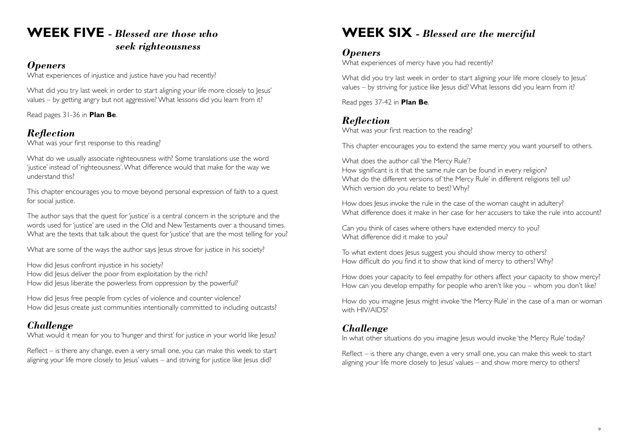# **Week five** *- Blessed are those who seek righteousness*

### *Openers*

What experiences of injustice and justice have you had recently?

What did you try last week in order to start aligning your life more closely to Jesus' values – by getting angry but not aggressive? What lessons did you learn from it?

Read pages 31-36 in **Plan Be**.

# *Reflection*

What was your first response to this reading?

What do we usually associate righteousness with? Some translations use the word 'justice' instead of 'righteousness'. What difference would that make for the way we understand this?

This chapter encourages you to move beyond personal expression of faith to a quest for social justice.

The author says that the quest for 'justice' is a central concern in the scripture and the words used for 'justice' are used in the Old and New Testaments over a thousand times. What are the texts that talk about the quest for 'justice' that are the most telling for you?

What are some of the ways the author says lesus strove for justice in his society?

How did Jesus confront injustice in his society? How did lesus deliver the poor from exploitation by the rich? How did lesus liberate the powerless from oppression by the powerful?

How did Jesus free people from cycles of violence and counter violence? How did Jesus create just communities intentionally committed to including outcasts?

# *Challenge*

What would it mean for you to 'hunger and thirst' for justice in your world like Jesus?

Reflect – is there any change, even a very small one, you can make this week to start aligning your life more closely to Jesus' values – and striving for justice like Jesus did?

# **Week six** *- Blessed are the merciful*

### *Openers*

What experiences of mercy have you had recently?

What did you try last week in order to start aligning your life more closely to Jesus' values – by striving for justice like Jesus did? What lessons did you learn from it?

Read pges 37-42 in **Plan Be**.

## *Reflection*

What was your first reaction to the reading?

This chapter encourages you to extend the same mercy you want yourself to others.

What does the author call 'the Mercy Rule'? How significant is it that the same rule can be found in every religion? What do the different versions of 'the Mercy Rule' in different religions tell us? Which version do you relate to best? Why?

How does lesus invoke the rule in the case of the woman caught in adultery? What difference does it make in her case for her accusers to take the rule into account?

Can you think of cases where others have extended mercy to you? What difference did it make to you?

To what extent does Jesus suggest you should show mercy to others? How difficult do you find it to show that kind of mercy to others? Why?

How does your capacity to feel empathy for others affect your capacity to show mercy? How can you develop empathy for people who aren't like you – whom you don't like?

How do you imagine Jesus might invoke 'the Mercy Rule' in the case of a man or woman with HIV/AIDS?

# *Challenge*

In what other situations do you imagine Jesus would invoke 'the Mercy Rule' today?

Reflect – is there any change, even a very small one, you can make this week to start aligning your life more closely to Jesus' values – and show more mercy to others?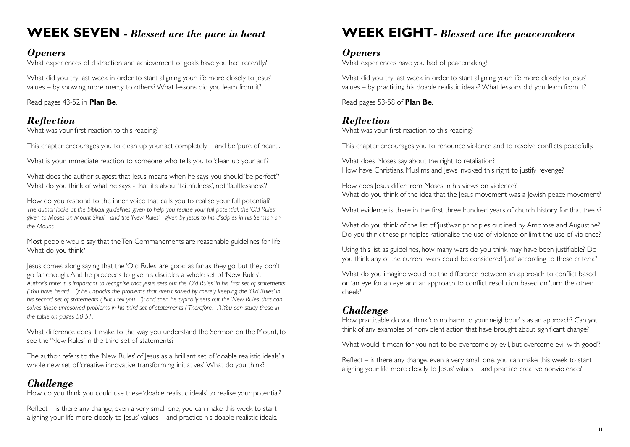# **Week seven** *- Blessed are the pure in heart*

## *Openers*

What experiences of distraction and achievement of goals have you had recently?

What did you try last week in order to start aligning your life more closely to Jesus' values – by showing more mercy to others? What lessons did you learn from it?

Read pages 43-52 in **Plan Be**.

## *Reflection*

What was your first reaction to this reading?

This chapter encourages you to clean up your act completely – and be 'pure of heart'.

What is your immediate reaction to someone who tells you to 'clean up your act'?

What does the author suggest that Jesus means when he says you should 'be perfect'? What do you think of what he says - that it's about 'faithfulness', not 'faultlessness'?

How do you respond to the inner voice that calls you to realise your full potential? *The author looks at the biblical guidelines given to help you realise your full potential; the 'Old Rules' given to Moses on Mount Sinai - and the 'New Rules' - given by Jesus to his disciples in his Sermon on the Mount.*

Most people would say that the Ten Commandments are reasonable guidelines for life. What do you think?

Jesus comes along saying that the 'Old Rules' are good as far as they go, but they don't go far enough. And he proceeds to give his disciples a whole set of 'New Rules'. *Author's note: it is important to recognise that Jesus sets out the 'Old Rules' in his first set of statements ('You have heard…'); he unpacks the problems that aren't solved by merely keeping the 'Old Rules' in his second set of statements ('But I tell you. . .'); and then he typically sets out the 'New Rules' that can solves these unresolved problems in his third set of statements ('Therefore…'). You can study these in the table on pages 50-51.*

What difference does it make to the way you understand the Sermon on the Mount, to see the 'New Rules' in the third set of statements?

The author refers to the 'New Rules' of Jesus as a brilliant set of 'doable realistic ideals' a whole new set of 'creative innovative transforming initiatives'. What do you think?

# *Challenge*

How do you think you could use these 'doable realistic ideals' to realise your potential?

Reflect – is there any change, even a very small one, you can make this week to start aligning your life more closely to Jesus' values – and practice his doable realistic ideals.

# **Week eight***- Blessed are the peacemakers*

### *Openers*

What experiences have you had of peacemaking?

What did you try last week in order to start aligning your life more closely to Jesus' values – by practicing his doable realistic ideals? What lessons did you learn from it?

Read pages 53-58 of **Plan Be**.

## *Reflection*

What was your first reaction to this reading?

This chapter encourages you to renounce violence and to resolve conflicts peacefully.

What does Moses say about the right to retaliation? How have Christians, Muslims and Jews invoked this right to justify revenge?

How does lesus differ from Moses in his views on violence? What do you think of the idea that the lesus movement was a lewish peace movement?

What evidence is there in the first three hundred years of church history for that thesis?

What do you think of the list of 'just'war principles outlined by Ambrose and Augustine? Do you think these principles rationalise the use of violence or limit the use of violence?

Using this list as guidelines, how many wars do you think may have been justifiable? Do you think any of the current wars could be considered 'just' according to these criteria?

What do you imagine would be the difference between an approach to conflict based on 'an eye for an eye' and an approach to conflict resolution based on 'turn the other cheek?

# *Challenge*

How practicable do you think 'do no harm to your neighbour' is as an approach? Can you think of any examples of nonviolent action that have brought about significant change?

What would it mean for you not to be overcome by evil, but overcome evil with good'?

Reflect – is there any change, even a very small one, you can make this week to start aligning your life more closely to Jesus' values – and practice creative nonviolence?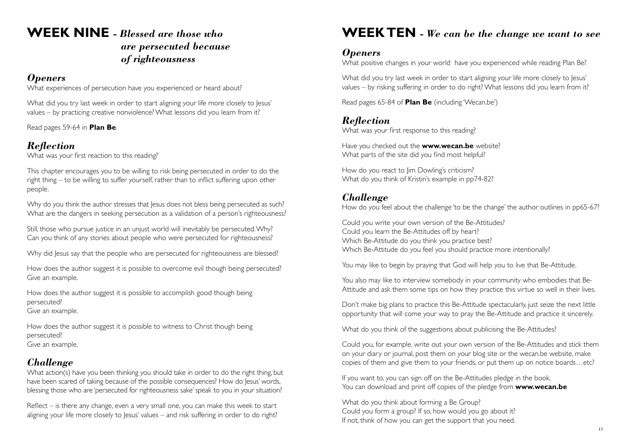# **Week nine** *- Blessed are those who are persecuted because of righteousness*

#### *Openers*

What experiences of persecution have you experienced or heard about?

What did you try last week in order to start aligning your life more closely to Jesus' values – by practicing creative nonviolence? What lessons did you learn from it?

Read pages 59-64 in **Plan Be**.

# *Reflection*

What was your first reaction to this reading?

This chapter encourages you to be willing to risk being persecuted in order to do the right thing – to be willing to suffer yourself, rather than to inflict suffering upon other people.

Why do you think the author stresses that Jesus does not bless being persecuted as such? What are the dangers in seeking persecution as a validation of a person's righteousness?

Still, those who pursue justice in an unjust world will inevitably be persecuted. Why? Can you think of any stories about people who were persecuted for righteousness?

Why did lesus say that the people who are persecuted for righteousness are blessed?

How does the author suggest it is possible to overcome evil though being persecuted? Give an example.

How does the author suggest it is possible to accomplish good though being persecuted? Give an example.

How does the author suggest it is possible to witness to Christ though being persecuted? Give an example.

## *Challenge*

What action(s) have you been thinking you should take in order to do the right thing, but have been scared of taking because of the possible consequences? How do Jesus' words, blessing those who are 'persecuted for righteousness sake' speak to you in your situation?

Reflect – is there any change, even a very small one, you can make this week to start aligning your life more closely to Jesus' values – and risk suffering in order to do right?

# **WEEK TEN** - We can be the change we want to see

### *Openers*

What positive changes in your world have you experienced while reading Plan Be?

What did you try last week in order to start aligning your life more closely to Jesus' values – by risking suffering in order to do right? What lessons did you learn from it?

Read pages 65-84 of **Plan Be** (including 'Wecan.be')

#### *Reflection*

What was your first response to this reading?

Have you checked out the **www.wecan.be** website? What parts of the site did you find most helpful?

How do you react to Jim Dowling's criticism? What do you think of Kristin's example in pp74-82?

## *Challenge*

How do you feel about the challenge 'to be the change' the author outlines in pp65-67?

Could you write your own version of the Be-Attitudes? Could you learn the Be-Attitudes off by heart? Which Be-Attitude do you think you practice best? Which Be-Attitude do you feel you should practice more intentionally?

You may like to begin by praying that God will help you to live that Be-Attitude.

You also may like to interview somebody in your community who embodies that Be-Attitude and ask them some tips on how they practice this virtue so well in their lives.

Don't make big plans to practice this Be-Attitude spectacularly, just seize the next little opportunity that will come your way to pray the Be-Attitude and practice it sincerely.

What do you think of the suggestions about publicising the Be-Attitudes?

Could you, for example, write out your own version of the Be-Attitudes and stick them on your diary or journal, post them on your blog site or the wecan.be website, make copies of them and give them to your friends, or put them up on notice boards…etc?

If you want to, you can sign off on the Be-Attitudes pledge in the book. You can download and print off copies of the pledge from **www.wecan.be** 

What do you think about forming a Be Group? Could you form a group? If so, how would you go about it? If not, think of how you can get the support that you need.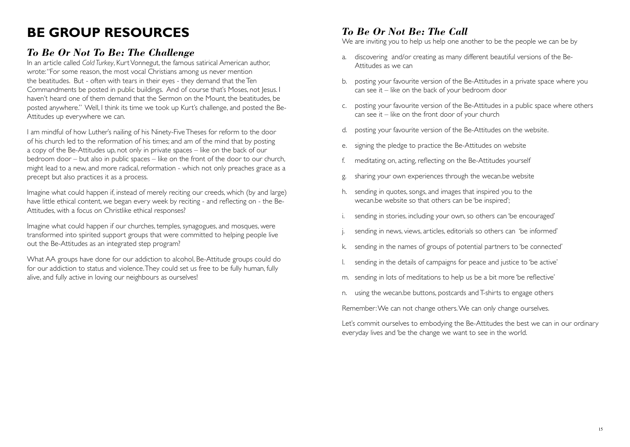# **Be Group Resources**

## *To Be Or Not To Be: The Challenge*

In an article called *Cold Turkey*, Kurt Vonnegut, the famous satirical American author, wrote: "For some reason, the most vocal Christians among us never mention the beatitudes. But - often with tears in their eyes - they demand that the Ten Commandments be posted in public buildings. And of course that's Moses, not Jesus. I haven't heard one of them demand that the Sermon on the Mount, the beatitudes, be posted anywhere." Well, I think its time we took up Kurt's challenge, and posted the Be-Attitudes up everywhere we can.

I am mindful of how Luther's nailing of his Ninety-Five Theses for reform to the door of his church led to the reformation of his times; and am of the mind that by posting a copy of the Be-Attitudes up, not only in private spaces – like on the back of our bedroom door – but also in public spaces – like on the front of the door to our church, might lead to a new, and more radical, reformation - which not only preaches grace as a precept but also practices it as a process.

Imagine what could happen if, instead of merely reciting our creeds, which (by and large) have little ethical content, we began every week by reciting - and reflecting on - the Be-Attitudes, with a focus on Christlike ethical responses?

Imagine what could happen if our churches, temples, synagogues, and mosques, were transformed into spirited support groups that were committed to helping people live out the Be-Attitudes as an integrated step program?

What AA groups have done for our addiction to alcohol, Be-Attitude groups could do for our addiction to status and violence. They could set us free to be fully human, fully alive, and fully active in loving our neighbours as ourselves!

# *To Be Or Not Be: The Call*

We are inviting you to help us help one another to be the people we can be by

- a. discovering and/or creating as many different beautiful versions of the Be-Attitudes as we can
- b. posting your favourite version of the Be-Attitudes in a private space where you can see it – like on the back of your bedroom door
- c. posting your favourite version of the Be-Attitudes in a public space where others can see it  $-$  like on the front door of your church
- d. posting your favourite version of the Be-Attitudes on the website.
- e. signing the pledge to practice the Be-Attitudes on website
- f. meditating on, acting, reflecting on the Be-Attitudes yourself
- g. sharing your own experiences through the wecan.be website
- h. sending in quotes, songs, and images that inspired you to the wecan.be website so that others can be 'be inspired';
- sending in stories, including your own, so others can 'be encouraged'
- sending in news, views, articles, editorials so others can 'be informed'
- k. sending in the names of groups of potential partners to 'be connected'
- sending in the details of campaigns for peace and justice to 'be active'
- m. sending in lots of meditations to help us be a bit more 'be reflective'
- n. using the wecan.be buttons, postcards and T-shirts to engage others

Remember: We can not change others. We can only change ourselves.

Let's commit ourselves to embodying the Be-Attitudes the best we can in our ordinary everyday lives and 'be the change we want to see in the world.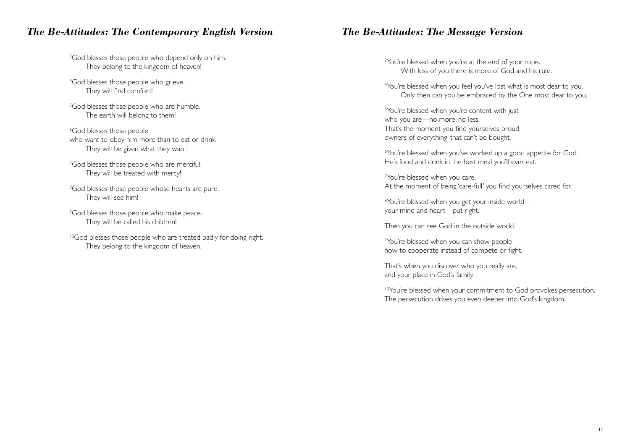#### *The Be-Attitudes: The Contemporary English Version*

<sup>3</sup>God blesses those people who depend only on him. They belong to the kingdom of heaven!

4 God blesses those people who grieve. They will find comfort!

5 God blesses those people who are humble. The earth will belong to them!

6 God blesses those people who want to obey him more than to eat or drink. They will be given what they want!

<sup>7</sup>God blesses those people who are merciful. They will be treated with mercy!

<sup>8</sup>God blesses those people whose hearts are pure. They will see him!

9 God blesses those people who make peace. They will be called his children!

<sup>10</sup>God blesses those people who are treated badly for doing right. They belong to the kingdom of heaven.

#### *The Be-Attitudes: The Message Version*

<sup>3</sup>You're blessed when you're at the end of your rope. With less of you there is more of God and his rule.

<sup>4</sup>You're blessed when you feel you've lost what is most dear to you. Only then can you be embraced by the One most dear to you.

<sup>5</sup>You're blessed when you're content with just who you are—no more, no less. That's the moment you find yourselves proud owners of everything that can't be bought.

<sup>6</sup>You're blessed when you've worked up a good appetite for God. He's food and drink in the best meal you'll ever eat.

<sup>7</sup>You're blessed when you care. At the moment of being 'care-full,' you find yourselves cared for.

8You're blessed when you get your inside world your mind and heart—put right.

Then you can see God in the outside world.

<sup>9</sup>You're blessed when you can show people how to cooperate instead of compete or fight.

That's when you discover who you really are, and your place in God's family.

10You're blessed when your commitment to God provokes persecution. The persecution drives you even deeper into God's kingdom.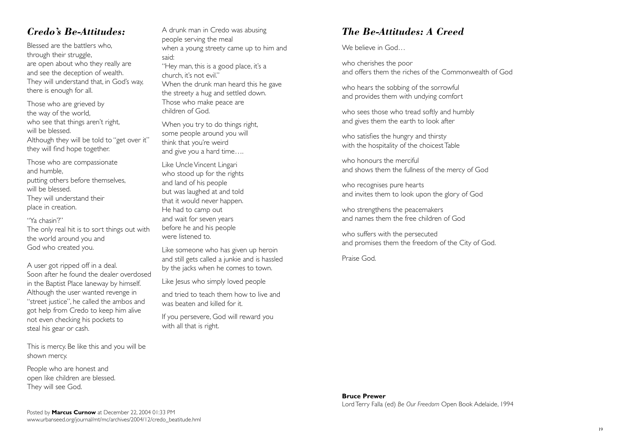## *Credo's Be-Attitudes:*

Blessed are the battlers who, through their struggle, are open about who they really are and see the deception of wealth. They will understand that, in God's way, there is enough for all.

Those who are grieved by the way of the world, who see that things aren't right, will be blessed. Although they will be told to "get over it" they will find hope together.

Those who are compassionate and humble, putting others before themselves, will be blessed. They will understand their place in creation.

"Ya chasin'?"

The only real hit is to sort things out with the world around you and God who created you.

A user got ripped off in a deal. Soon after he found the dealer overdosed in the Baptist Place laneway by himself. Although the user wanted revenge in "street justice", he called the ambos and got help from Credo to keep him alive not even checking his pockets to steal his gear or cash.

This is mercy. Be like this and you will be shown mercy.

People who are honest and open like children are blessed. They will see God.

A drunk man in Credo was abusing people serving the meal when a young streety came up to him and said: "Hey man, this is a good place, it's a church, it's not evil." When the drunk man heard this he gave the streety a hug and settled down. Those who make peace are children of God.

When you try to do things right, some people around you will think that you're weird and give you a hard time….

Like Uncle Vincent Lingari who stood up for the rights and land of his people but was laughed at and told that it would never happen. He had to camp out and wait for seven years before he and his people were listened to.

Like someone who has given up heroin and still gets called a junkie and is hassled by the jacks when he comes to town.

Like lesus who simply loved people

and tried to teach them how to live and was beaten and killed for it.

If you persevere, God will reward you with all that is right.

# *The Be-Attitudes: A Creed*

We believe in God…

who cherishes the poor and offers them the riches of the Commonwealth of God

who hears the sobbing of the sorrowful and provides them with undying comfort

who sees those who tread softly and humbly and gives them the earth to look after

who satisfies the hungry and thirsty with the hospitality of the choicest Table

who honours the merciful and shows them the fullness of the mercy of God

who recognises pure hearts and invites them to look upon the glory of God

who strengthens the peacemakers and names them the free children of God

who suffers with the persecuted and promises them the freedom of the City of God.

Praise God.

#### **Bruce Prewer** Lord Terry Falla (ed) *Be Our Freedom* Open Book Adelaide, 1994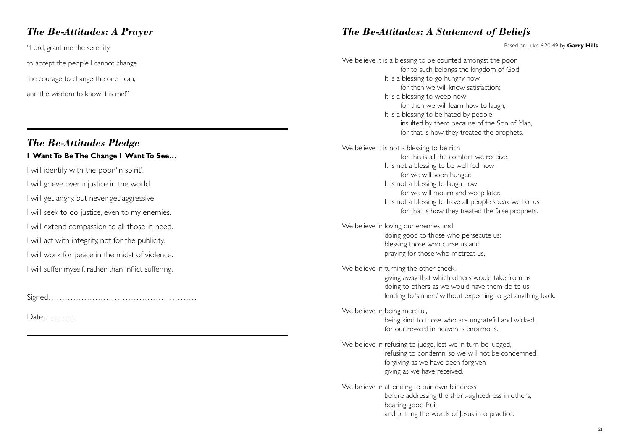### *The Be-Attitudes: A Prayer*

"Lord, grant me the serenity to accept the people I cannot change, the courage to change the one I can, and the wisdom to know it is me!"

#### **I Want To Be The Change I Want To See…**  *The Be-Attitudes Pledge*

I will identify with the poor 'in spirit'. I will grieve over injustice in the world. I will get angry, but never get aggressive. I will seek to do justice, even to my enemies. I will extend compassion to all those in need. I will act with integrity, not for the publicity. I will work for peace in the midst of violence. I will suffer myself, rather than inflict suffering.

Signed………………………………………………

Date………….

### *The Be-Attitudes: A Statement of Beliefs*

#### Based on Luke 6.20-49 by **Garry Hills**

We believe it is a blessing to be counted amongst the poor for to such belongs the kingdom of God; It is a blessing to go hungry now for then we will know satisfaction; It is a blessing to weep now for then we will learn how to laugh; It is a blessing to be hated by people, insulted by them because of the Son of Man, for that is how they treated the prophets. We believe it is not a blessing to be rich for this is all the comfort we receive. It is not a blessing to be well fed now for we will soon hunger. It is not a blessing to laugh now for we will mourn and weep later. It is not a blessing to have all people speak well of us for that is how they treated the false prophets. We believe in loving our enemies and doing good to those who persecute us; blessing those who curse us and praying for those who mistreat us. We believe in turning the other cheek, giving away that which others would take from us doing to others as we would have them do to us, lending to 'sinners' without expecting to get anything back. We believe in being merciful. being kind to those who are ungrateful and wicked, for our reward in heaven is enormous. We believe in refusing to judge, lest we in turn be judged, refusing to condemn, so we will not be condemned, forgiving as we have been forgiven giving as we have received. We believe in attending to our own blindness before addressing the short-sightedness in others, bearing good fruit and putting the words of Jesus into practice.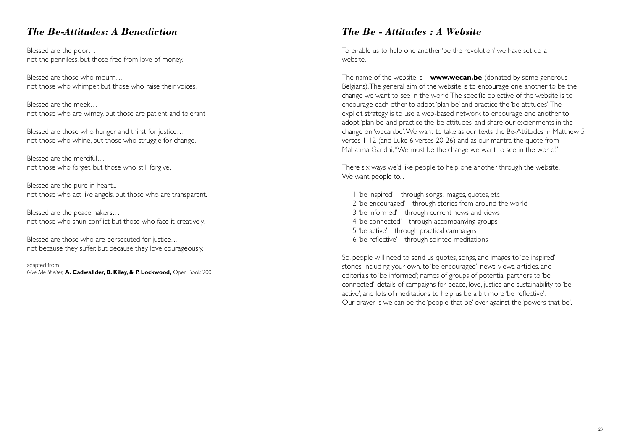### *The Be-Attitudes: A Benediction*

Blessed are the poor… not the penniless, but those free from love of money.

Blessed are those who mourn… not those who whimper, but those who raise their voices.

Blessed are the meek… not those who are wimpy, but those are patient and tolerant

Blessed are those who hunger and thirst for justice… not those who whine, but those who struggle for change.

Blessed are the merciful… not those who forget, but those who still forgive.

Blessed are the pure in heart... not those who act like angels, but those who are transparent.

Blessed are the peacemakers… not those who shun conflict but those who face it creatively.

Blessed are those who are persecuted for justice… not because they suffer, but because they love courageously.

adapted from *Give Me Shelter,* **A. Cadwallder, B. Kiley, & P. Lockwood,** Open Book 2001

### *The Be - Attitudes : A Website*

To enable us to help one another 'be the revolution' we have set up a website.

The name of the website is – **www.wecan.be** (donated by some generous Belgians). The general aim of the website is to encourage one another to be the change we want to see in the world. The specific objective of the website is to encourage each other to adopt 'plan be' and practice the 'be-attitudes'. The explicit strategy is to use a web-based network to encourage one another to adopt 'plan be' and practice the 'be-attitudes' and share our experiments in the change on 'wecan.be'. We want to take as our texts the Be-Attitudes in Matthew 5 verses 1-12 (and Luke 6 verses 20-26) and as our mantra the quote from Mahatma Gandhi, "We must be the change we want to see in the world."

There six ways we'd like people to help one another through the website. We want people to...

1. 'be inspired' – through songs, images, quotes, etc 2. 'be encouraged' – through stories from around the world 3. 'be informed' – through current news and views 4. 'be connected' – through accompanying groups 5. 'be active' – through practical campaigns 6. 'be reflective' – through spirited meditations

So, people will need to send us quotes, songs, and images to 'be inspired'; stories, including your own, to 'be encouraged'; news, views, articles, and editorials to 'be informed'; names of groups of potential partners to 'be connected'; details of campaigns for peace, love, justice and sustainability to 'be active'; and lots of meditations to help us be a bit more 'be reflective'. Our prayer is we can be the 'people-that-be' over against the 'powers-that-be'.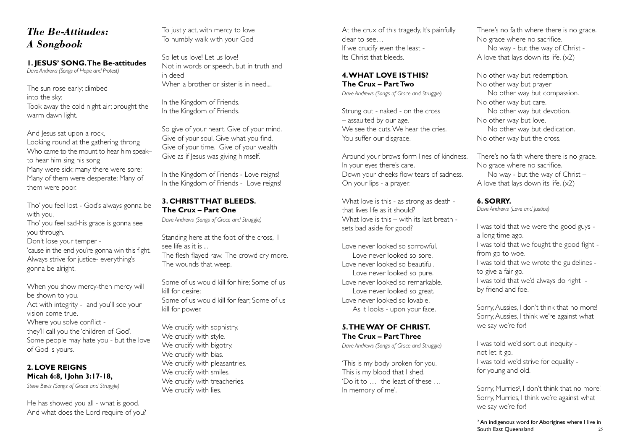### *The Be-Attitudes: A Songbook*

**1. JESUS' SONG. The Be-attitudes** *Dave Andrews (Songs of Hope and Protest)*

The sun rose early; climbed into the sky; Took away the cold night air; brought the warm dawn light.

And lesus sat upon a rock, Looking round at the gathering throng Who came to the mount to hear him speak– to hear him sing his song Many were sick; many there were sore; Many of them were desperate; Many of them were poor.

Tho' you feel lost - God's always gonna be with you,

Tho' you feel sad-his grace is gonna see you through.

Don't lose your temper -

'cause in the end you're gonna win this fight. Always strive for justice- everything's gonna be alright.

When you show mercy-then mercy will be shown to you. Act with integrity - and you'll see your vision come true. Where you solve conflict -

they'll call you the 'children of God'. Some people may hate you - but the love of God is yours.

#### **2. LOVE REIGNS Micah 6:8, 1John 3:17-18,**

*Steve Bevis (Songs of Grace and Struggle)*

He has showed you all - what is good. And what does the Lord require of you? To justly act, with mercy to love To humbly walk with your God

So let us love! Let us love! Not in words or speech, but in truth and in deed When a brother or sister is in need....

In the Kingdom of Friends. In the Kingdom of Friends.

So give of your heart. Give of your mind. Give of your soul. Give what you find. Give of your time. Give of your wealth Give as if Jesus was giving himself.

In the Kingdom of Friends - Love reigns! In the Kingdom of Friends - Love reigns!

#### **3. CHRIST THAT BLEEDS. The Crux – Part One**

*Dave Andrews (Songs of Grace and Struggle)*

Standing here at the foot of the cross, I see life as it is ... The flesh flayed raw. The crowd cry more. The wounds that weep.

Some of us would kill for hire; Some of us kill for desire; Some of us would kill for fear; Some of us kill for power.

We crucify with sophistry. We crucify with style. We crucify with bigotry. We crucify with bias. We crucify with pleasantries. We crucify with smiles. We crucify with treacheries. We crucify with lies.

At the crux of this tragedy, It's painfully clear to see… If we crucify even the least - Its Christ that bleeds.

#### **4. WHAT LOVE IS THIS? The Crux – Part Two**

*Dave Andrews (Songs of Grace and Struggle)*

Strung out - naked - on the cross – assaulted by our age. We see the cuts. We hear the cries. You suffer our disgrace.

Around your brows form lines of kindness. In your eyes there's care. Down your cheeks flow tears of sadness. On your lips - a prayer.

What love is this - as strong as death that lives life as it should? What love is this – with its last breath sets bad aside for good?

Love never looked so sorrowful. Love never looked so sore. Love never looked so beautiful. Love never looked so pure. Love never looked so remarkable. Love never looked so great. Love never looked so lovable. As it looks - upon your face.

#### **5. THE WAY OF CHRIST. The Crux – Part Three**

*Dave Andrews (Songs of Grace and Struggle)*

'This is my body broken for you. This is my blood that I shed. 'Do it to … the least of these … In memory of me'.

There's no faith where there is no grace. No grace where no sacrifice. No way - but the way of Christ - A love that lays down its life.  $(x2)$ 

No other way but redemption. No other way but prayer No other way but compassion. No other way but care. No other way but devotion. No other way but love. No other way but dedication. No other way but the cross.

There's no faith where there is no grace. No grace where no sacrifice.

No way - but the way of Christ – A love that lays down its life.  $(x2)$ 

#### **6. SORRY.**

*Dave Andrews (Love and Justice)*

I was told that we were the good guys a long time ago. I was told that we fought the good fight from go to woe. I was told that we wrote the guidelines to give a fair go. I was told that we'd always do right by friend and foe.

Sorry, Aussies, I don't think that no more! Sorry, Aussies, I think we're against what we say we're for!

I was told we'd sort out inequity not let it go. I was told we'd strive for equality for young and old.

Sorry, Murries<sup>2</sup>, I don't think that no more! Sorry, Murries, I think we're against what we say we're for!

 $25$ 2 An indigenous word for Aborigines where I live in South East Queensland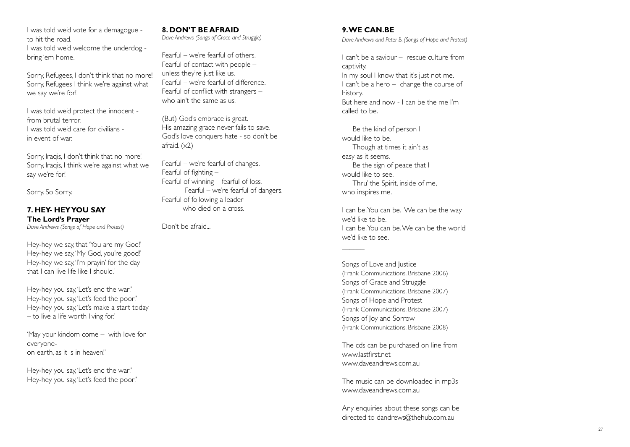I was told we'd vote for a demagogue to hit the road. I was told we'd welcome the underdog bring 'em home.

Sorry, Refugees, I don't think that no more! Sorry, Refugees I think we're against what we say we're for!

I was told we'd protect the innocent from brutal terror. I was told we'd care for civilians in event of war.

Sorry, Iraqis, I don't think that no more! Sorry, Iraqis, I think we're against what we say we're for!

Sorry. So Sorry.

#### **7. HEY- HEY YOU SAY The Lord's Prayer**

*Dave Andrews (Songs of Hope and Protest)*

Hey-hey we say, that 'You are my God!' Hey-hey we say, 'My God, you're good!' Hey-hey we say, 'I'm prayin' for the day  $$ that I can live life like I should.'

Hey-hey you say, 'Let's end the war!' Hey-hey you say, 'Let's feed the poor!' Hey-hey you say, 'Let's make a start today – to live a life worth living for.'

'May your kindom come – with love for everyoneon earth, as it is in heaven!'

Hey-hey you say, 'Let's end the war!' Hey-hey you say, 'Let's feed the poor!'

**8. DON'T BE AFRAID** *Dave Andrews (Songs of Grace and Struggle)*

Fearful – we're fearful of others. Fearful of contact with people – unless they're just like us. Fearful – we're fearful of difference. Fearful of conflict with strangers – who ain't the same as us.

(But) God's embrace is great. His amazing grace never fails to save. God's love conquers hate - so don't be afraid. (x2)

Fearful – we're fearful of changes. Fearful of fighting – Fearful of winning – fearful of loss. Fearful – we're fearful of dangers. Fearful of following a leader – who died on a cross.

Don't be afraid...

**9. W E C A N.B E**

*Dave Andrews and Peter B. (Songs of Hope and Protest)* 

I can't be a saviour – rescue culture from captivity. In my soul I know that it's just not me. I can't be a hero – change the course of history. But here and now - I can be the me I'm called to be.

Be the kind of person I would like to be. Though at times it ain't as easy as it seems. Be the sign of peace that I would like to see. Thru' the Spirit, inside of me, who inspires me.

I can be. You can be. We can be the way we'd like to be. I can be. You can be. We can be the world we'd like to see.

Songs of Love and Justice (Frank Communications, Brisbane 2006) Songs of Grace and Struggle (Frank Communications, Brisbane 2007) Songs of Hope and Protest (Frank Communications, Brisbane 2007) Songs of Joy and Sorrow (Frank Communications, Brisbane 2008)

 $\overline{\phantom{a}}$ 

The cds can be purchased on line from www.lastfirst.net www.daveandrews.com.au

The music can be downloaded in mp3s www.daveandrews.com.au

Any enquiries about these songs can be directed to dandrews@thehub.com.au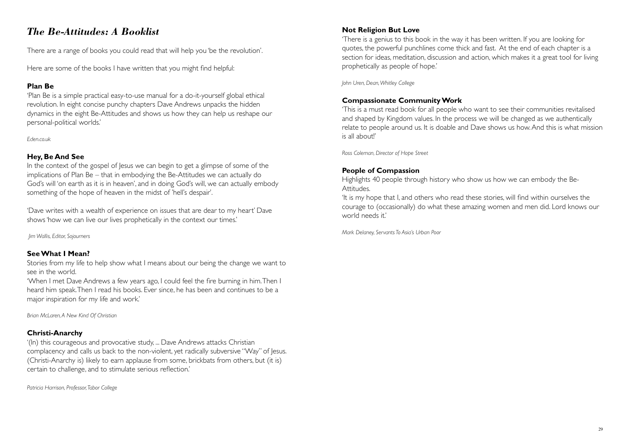## *The Be-Attitudes: A Booklist*

There are a range of books you could read that will help you 'be the revolution'.

Here are some of the books I have written that you might find helpful:

#### **Plan Be**

'Plan Be is a simple practical easy-to-use manual for a do-it-yourself global ethical revolution. In eight concise punchy chapters Dave Andrews unpacks the hidden dynamics in the eight Be-Attitudes and shows us how they can help us reshape our personal-political worlds.'

#### *Eden.co.uk*

#### **Hey, Be And See**

In the context of the gospel of Jesus we can begin to get a glimpse of some of the implications of Plan Be – that in embodying the Be-Attitudes we can actually do God's will 'on earth as it is in heaven', and in doing God's will, we can actually embody something of the hope of heaven in the midst of 'hell's despair'.

'Dave writes with a wealth of experience on issues that are dear to my heart' Dave shows 'how we can live our lives prophetically in the context our times.'

 *Jim Wallis, Editor, Sojourners*

#### **See What I Mean?**

Stories from my life to help show what I means about our being the change we want to see in the world.

'When I met Dave Andrews a few years ago, I could feel the fire burning in him. Then I heard him speak. Then I read his books. Ever since, he has been and continues to be a major inspiration for my life and work.'

*Brian McLaren, A New Kind Of Christian* 

#### **Christi-Anarchy**

'(In) this courageous and provocative study, ... Dave Andrews attacks Christian complacency and calls us back to the non-violent, yet radically subversive "Way" of Jesus. (Christi-Anarchy is) likely to earn applause from some, brickbats from others, but (it is) certain to challenge, and to stimulate serious reflection.'

*Patricia Harrison, Professor, Tabor College*

#### **Not Religion But Love**

'There is a genius to this book in the way it has been written. If you are looking for quotes, the powerful punchlines come thick and fast. At the end of each chapter is a section for ideas, meditation, discussion and action, which makes it a great tool for living prophetically as people of hope.'

*John Uren, Dean, Whitley College*

#### **Compassionate Community Work**

'This is a must read book for all people who want to see their communities revitalised and shaped by Kingdom values. In the process we will be changed as we authentically relate to people around us. It is doable and Dave shows us how. And this is what mission is all about!'

*Ross Coleman, Director of Hope Street*

#### **People of Compassion**

Highlights 40 people through history who show us how we can embody the Be-Attitudes.

'It is my hope that I, and others who read these stories, will find within ourselves the courage to (occasionally) do what these amazing women and men did. Lord knows our world needs it.'

*Mark Delaney, Servants To Asia's Urban Poor*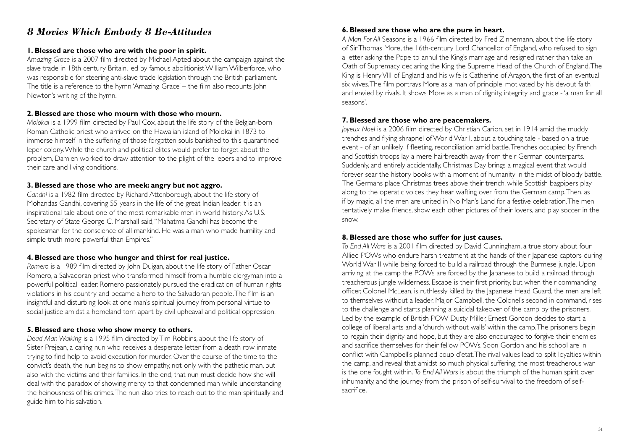### *8 Movies Which Embody 8 Be-Attitudes*

#### **1. Blessed are those who are with the poor in spirit.**

*Amazing Grace* is a 2007 film directed by Michael Apted about the campaign against the slave trade in 18th century Britain, led by famous abolitionist William Wilberforce, who was responsible for steering anti-slave trade legislation through the British parliament. The title is a reference to the hymn 'Amazing Grace' – the film also recounts John Newton's writing of the hymn.

#### **2. Blessed are those who mourn with those who mourn.**

*Molokai* is a 1999 film directed by Paul Cox, about the life story of the Belgian-born Roman Catholic priest who arrived on the Hawaiian island of Molokai in 1873 to immerse himself in the suffering of those forgotten souls banished to this quarantined leper colony. While the church and political elites would prefer to forget about the problem, Damien worked to draw attention to the plight of the lepers and to improve their care and living conditions.

#### **3. Blessed are those who are meek: angry but not aggro.**

*Gandhi* is a 1982 film directed by Richard Attenborough, about the life story of Mohandas Gandhi, covering 55 years in the life of the great Indian leader. It is an inspirational tale about one of the most remarkable men in world history. As U.S. Secretary of State George C. Marshall said, "Mahatma Gandhi has become the spokesman for the conscience of all mankind. He was a man who made humility and simple truth more powerful than Empires."

#### **4. Blessed are those who hunger and thirst for real justice.**

*Romero* is a 1989 film directed by John Duigan, about the life story of Father Oscar Romero, a Salvadoran priest who transformed himself from a humble clergyman into a powerful political leader. Romero passionately pursued the eradication of human rights violations in his country and became a hero to the Salvadoran people. The film is an insightful and disturbing look at one man's spiritual journey from personal virtue to social justice amidst a homeland torn apart by civil upheaval and political oppression.

#### **5. Blessed are those who show mercy to others.**

*Dead Man Walking* is a 1995 film directed by Tim Robbins, about the life story of Sister Prejean, a caring nun who receives a desperate letter from a death row inmate trying to find help to avoid execution for murder. Over the course of the time to the convict's death, the nun begins to show empathy, not only with the pathetic man, but also with the victims and their families. In the end, that nun must decide how she will deal with the paradox of showing mercy to that condemned man while understanding the heinousness of his crimes. The nun also tries to reach out to the man spiritually and guide him to his salvation.

#### **6. Blessed are those who are the pure in heart.**

*A Man For All* Seasons is a 1966 film directed by Fred Zinnemann, about the life story of Sir Thomas More, the 16th-century Lord Chancellor of England, who refused to sign a letter asking the Pope to annul the King's marriage and resigned rather than take an Oath of Supremacy declaring the King the Supreme Head of the Church of England. The King is Henry VIII of England and his wife is Catherine of Aragon, the first of an eventual six wives. The film portrays More as a man of principle, motivated by his devout faith and envied by rivals. It shows More as a man of dignity, integrity and grace - 'a man for all seasons'.

#### **7. Blessed are those who are peacemakers.**

*Joyeux Noel* is a 2006 film directed by Christian Carion, set in 1914 amid the muddy trenches and flying shrapnel of World War I, about a touching tale - based on a true event - of an unlikely, if fleeting, reconciliation amid battle. Trenches occupied by French and Scottish troops lay a mere hairbreadth away from their German counterparts. Suddenly, and entirely accidentally, Christmas Day brings a magical event that would forever sear the history books with a moment of humanity in the midst of bloody battle. The Germans place Christmas trees above their trench, while Scottish bagpipers play along to the operatic voices they hear wafting over from the German camp. Then, as if by magic, all the men are united in No Man's Land for a festive celebration. The men tentatively make friends, show each other pictures of their lovers, and play soccer in the snow.

#### **8. Blessed are those who suffer for just causes.**

*To End All Wars* is a 2001 film directed by David Cunningham, a true story about four Allied POWs who endure harsh treatment at the hands of their lapanese captors during World War II while being forced to build a railroad through the Burmese jungle. Upon arriving at the camp the POWs are forced by the Japanese to build a railroad through treacherous jungle wilderness. Escape is their first priority, but when their commanding officer, Colonel McLean, is ruthlessly killed by the Japanese Head Guard, the men are left to themselves without a leader. Major Campbell, the Colonel's second in command, rises to the challenge and starts planning a suicidal takeover of the camp by the prisoners. Led by the example of British POW Dusty Miller, Ernest Gordon decides to start a college of liberal arts and a 'church without walls' within the camp. The prisoners begin to regain their dignity and hope, but they are also encouraged to forgive their enemies and sacrifice themselves for their fellow POWs. Soon Gordon and his school are in conflict with Campbell's planned coup d'etat. The rival values lead to split loyalties within the camp, and reveal that amidst so much physical suffering, the most treacherous war is the one fought within. *To End All Wars* is about the triumph of the human spirit over inhumanity, and the journey from the prison of self-survival to the freedom of selfsacrifice.